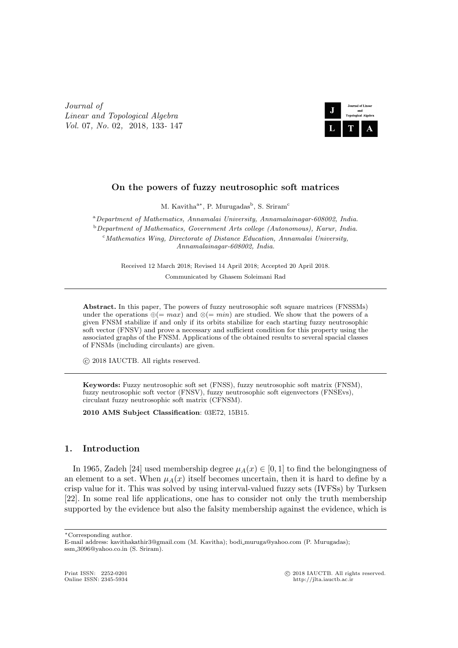*Journal of Linear and Topological Algebra Vol.* 07*, No.* 02*,* 2018*,* 133*-* 147



# **On the powers of fuzzy neutrosophic soft matrices**

M. Kavitha<sup>a\*</sup>, P. Murugadas<sup>b</sup>, S. Sriram<sup>c</sup>

<sup>a</sup>*Department of Mathematics, Annamalai University, Annamalainagar-608002, India.* <sup>b</sup>*Department of Mathematics, Government Arts college (Autonomous), Karur, India.* <sup>c</sup>*Mathematics Wing, Directorate of Distance Education, Annamalai University, Annamalainagar-608002, India.*

> Received 12 March 2018; Revised 14 April 2018; Accepted 20 April 2018. Communicated by Ghasem Soleimani Rad

**Abstract.** In this paper, The powers of fuzzy neutrosophic soft square matrices (FNSSMs) under the operations *⊕*(= *max*) and *⊗*(= *min*) are studied. We show that the powers of a given FNSM stabilize if and only if its orbits stabilize for each starting fuzzy neutrosophic soft vector (FNSV) and prove a necessary and sufficient condition for this property using the associated graphs of the FNSM. Applications of the obtained results to several spacial classes of FNSMs (including circulants) are given.

*⃝*c 2018 IAUCTB. All rights reserved.

**Keywords:** Fuzzy neutrosophic soft set (FNSS), fuzzy neutrosophic soft matrix (FNSM), fuzzy neutrosophic soft vector (FNSV), fuzzy neutrosophic soft eigenvectors (FNSEvs), circulant fuzzy neutrosophic soft matrix (CFNSM).

**2010 AMS Subject Classification**: 03E72, 15B15.

## **1. Introduction**

In 1965, Zadeh [24] used membership degree  $\mu_A(x) \in [0,1]$  to find the belongingness of an element to a set. When  $\mu_A(x)$  itself becomes uncertain, then it is hard to define by a crisp value for it. This was solved by using interval-valued fuzzy sets (IVFSs) by Turksen [22]. In some real life applications, one has to consider not only the truth membership supported by the evidence but also the falsity membership against the evidence, which is

Print ISSN: 2252-0201 <sup>©</sup> 2018 IAUCTB. All rights reserved.<br>
Online ISSN: 2345-5934 **but the Ultimately active** 

*<sup>∗</sup>*Corresponding author.

E-mail address: kavithakathir3@gmail.com (M. Kavitha); bodi muruga@yahoo.com (P. Murugadas); ssm 3096@yahoo.co.in (S. Sriram).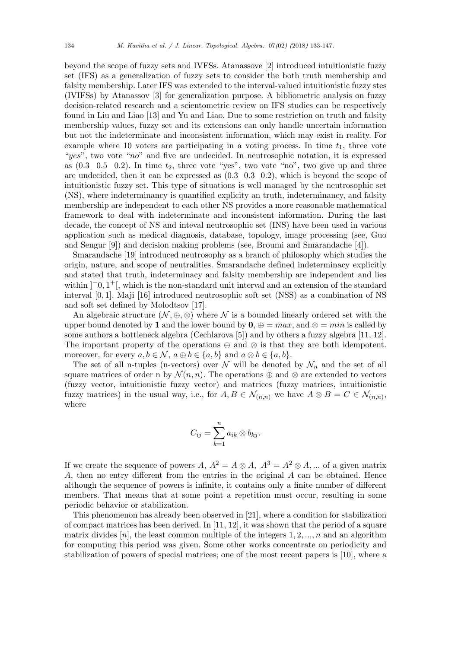beyond the scope of fuzzy sets and IVFSs. Atanassove [2] introduced intuitionistic fuzzy set (IFS) as a generalization of fuzzy sets to consider the both truth membership and falsity membership. Later IFS was extended to the interval-valued intuitionistic fuzzy stes (IVIFSs) by Atanassov [3] for generalization purpose. A bibliometric analysis on fuzzy decision-related research and a scientometric review on IFS studies can be respectively found in Liu and Liao [13] and Yu and Liao. Due to some restriction on truth and falsity membership values, fuzzy set and its extensions can only handle uncertain information but not the indeterminate and inconsistent information, which may exist in reality. For example where 10 voters are participating in a voting process. In time *t*1, three vote "*yes*", two vote "*no*" and five are undecided. In neutrosophic notation, it is expressed as  $(0.3 \t 0.5 \t 0.2)$ . In time  $t_2$ , three vote "yes", two vote "no", two give up and three are undecided, then it can be expressed as (0*.*3 0*.*3 0*.*2), which is beyond the scope of intuitionistic fuzzy set. This type of situations is well managed by the neutrosophic set (NS), where indeterminancy is quantified explicity an truth, indeterminancy, and falsity membership are independent to each other NS provides a more reasonable mathematical framework to deal with indeterminate and inconsistent information. During the last decade, the concept of NS and inteval neutrosophic set (INS) have been used in various application such as medical diagnosis, database, topology, image processing (see, Guo and Sengur [9]) and decision making problems (see, Broumi and Smarandache [4]).

Smarandache [19] introduced neutrosophy as a branch of philosophy which studies the origin, nature, and scope of neutralities. Smarandache defined indeterminacy explicitly and stated that truth, indeterminacy and falsity membership are independent and lies within  $]$ <sup>-</sup>0,1<sup>+</sup>, which is the non-standard unit interval and an extension of the standard interval [0*,* 1]. Maji [16] introduced neutrosophic soft set (NSS) as a combination of NS and soft set defined by Molodtsov [17].

An algebraic structure  $(N, \oplus, \otimes)$  where N is a bounded linearly ordered set with the upper bound denoted by **1** and the lower bound by  $\mathbf{0}, \oplus = max$ , and  $\otimes = min$  is called by some authors a bottleneck algebra (Cechlarova [5]) and by others a fuzzy algebra [11, 12]. The important property of the operations *⊕* and *⊗* is that they are both idempotent. moreover, for every  $a, b \in \mathcal{N}$ ,  $a \oplus b \in \{a, b\}$  and  $a \otimes b \in \{a, b\}$ .

The set of all n-tuples (n-vectors) over  $N$  will be denoted by  $N_n$  and the set of all square matrices of order n by  $\mathcal{N}(n, n)$ . The operations  $\oplus$  and  $\otimes$  are extended to vectors (fuzzy vector, intuitionistic fuzzy vector) and matrices (fuzzy matrices, intuitionistic fuzzy matrices) in the usual way, i.e., for  $A, B \in \mathcal{N}_{(n,n)}$  we have  $A \otimes B = C \in \mathcal{N}_{(n,n)}$ , where

$$
C_{ij} = \sum_{k=1}^n a_{ik} \otimes b_{kj}.
$$

If we create the sequence of powers *A*,  $A^2 = A \otimes A$ ,  $A^3 = A^2 \otimes A$ , ... of a given matrix *A*, then no entry different from the entries in the original *A* can be obtained. Hence although the sequence of powers is infinite, it contains only a finite number of different members. That means that at some point a repetition must occur, resulting in some periodic behavior or stabilization.

This phenomenon has already been observed in [21], where a condition for stabilization of compact matrices has been derived. In  $[11, 12]$ , it was shown that the period of a square matrix divides [*n*], the least common multiple of the integers 1*,* 2*, ..., n* and an algorithm for computing this period was given. Some other works concentrate on periodicity and stabilization of powers of special matrices; one of the most recent papers is [10], where a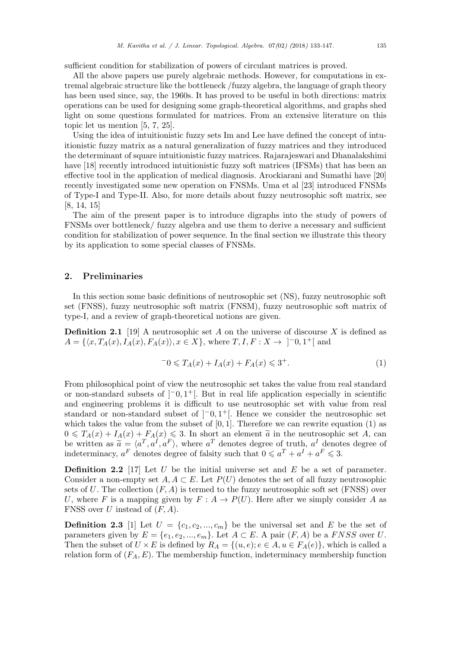sufficient condition for stabilization of powers of circulant matrices is proved.

All the above papers use purely algebraic methods. However, for computations in extremal algebraic structure like the bottleneck /fuzzy algebra, the language of graph theory has been used since, say, the 1960s. It has proved to be useful in both directions: matrix operations can be used for designing some graph-theoretical algorithms, and graphs shed light on some questions formulated for matrices. From an extensive literature on this topic let us mention [5, 7, 25].

Using the idea of intuitionistic fuzzy sets Im and Lee have defined the concept of intuitionistic fuzzy matrix as a natural generalization of fuzzy matrices and they introduced the determinant of square intuitionistic fuzzy matrices. Rajarajeswari and Dhanalakshimi have [18] recently introduced intuitionistic fuzzy soft matrices (IFSMs) that has been an effective tool in the application of medical diagnosis. Arockiarani and Sumathi have [20] recently investigated some new operation on FNSMs. Uma et al [23] introduced FNSMs of Type-I and Type-II. Also, for more details about fuzzy neutrosophic soft matrix, see [8, 14, 15]

The aim of the present paper is to introduce digraphs into the study of powers of FNSMs over bottleneck/ fuzzy algebra and use them to derive a necessary and sufficient condition for stabilization of power sequence. In the final section we illustrate this theory by its application to some special classes of FNSMs.

### **2. Preliminaries**

In this section some basic definitions of neutrosophic set (NS), fuzzy neutrosophic soft set (FNSS), fuzzy neutrosophic soft matrix (FNSM), fuzzy neutrosophic soft matrix of type-I, and a review of graph-theoretical notions are given.

**Definition 2.1** [19] A neutrosophic set *A* on the universe of discourse *X* is defined as  $A = \{ \langle x, T_A(x), I_A(x), F_A(x) \rangle, x \in X \}, \text{ where } T, I, F: X \to ]-0, 1^+[ \text{ and }$ 

$$
-0 \le T_A(x) + I_A(x) + F_A(x) \le 3^+.
$$
 (1)

From philosophical point of view the neutrosophic set takes the value from real standard or non-standard subsets of ]*−*0*,* 1 <sup>+</sup>[. But in real life application especially in scientific and engineering problems it is difficult to use neutrosophic set with value from real standard or non-standard subset of  $]$ <sup>-</sup>0*,* 1<sup>+</sup>[. Hence we consider the neutrosophic set which takes the value from the subset of  $[0, 1]$ . Therefore we can rewrite equation  $(1)$  as  $0 \leq T_A(x) + I_A(x) + F_A(x) \leq 3$ . In short an element  $\tilde{a}$  in the neutrosophic set *A*, can<br>be written as  $\tilde{a} - \sqrt{a^T} a^T a^T$ , where  $a^T$  denotes degree of truth  $a^T$  denotes degree of be written as  $\tilde{a} = \langle a^T, a^I, a^F \rangle$ , where  $a^T$  denotes degree of truth,  $a^I$  denotes degree of indeterminacy  $a^F$  denotes degree of falsity such that  $0 \le a^T + a^I + a^F \le 3$ indeterminacy,  $a^F$  denotes degree of falsity such that  $0 \leq a^T + a^I + a^F \leq 3$ .

**Definition 2.2** [17] Let *U* be the initial universe set and *E* be a set of parameter. Consider a non-empty set  $A, A \subset E$ . Let  $P(U)$  denotes the set of all fuzzy neutrosophic sets of  $U$ . The collection  $(F, A)$  is termed to the fuzzy neutrosophic soft set (FNSS) over *U*, where *F* is a mapping given by  $F: A \to P(U)$ . Here after we simply consider *A* as FNSS over *U* instead of (*F, A*).

**Definition 2.3** [1] Let  $U = \{c_1, c_2, ..., c_m\}$  be the universal set and *E* be the set of parameters given by  $E = \{e_1, e_2, ..., e_m\}$ . Let  $A \subset E$ . A pair  $(F, A)$  be a *FNSS* over *U*. Then the subset of  $U \times E$  is defined by  $R_A = \{(u, e) : e \in A, u \in F_A(e)\}$ , which is called a relation form of  $(F_A, E)$ . The membership function, indeterminacy membership function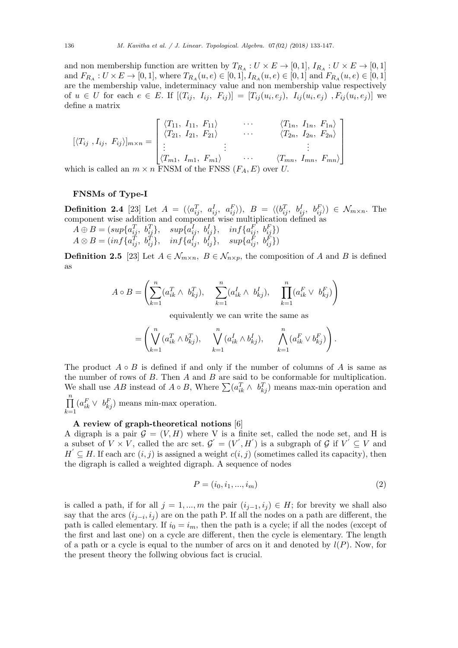and non membership function are written by  $T_{R_A}: U \times E \to [0,1],$   $I_{R_A}: U \times E \to [0,1]$ and  $F_{R_A}: U \times E \to [0,1]$ , where  $T_{R_A}(u,e) \in [0,1]$ ,  $I_{R_A}(u,e) \in [0,1]$  and  $F_{R_A}(u,e) \in [0,1]$ are the membership value, indeterminacy value and non membership value respectively of  $u \in U$  for each  $e \in E$ . If  $[(T_{ij}, I_{ij}, F_{ij})] = [T_{ij}(u_i, e_j), I_{ij}(u_i, e_j), F_{ij}(u_i, e_j)]$  we define a matrix

$$
[\langle T_{ij}, I_{ij}, F_{ij} \rangle]_{m \times n} = \begin{bmatrix} \langle T_{11}, I_{11}, F_{11} \rangle & \cdots & \langle T_{1n}, I_{1n}, F_{1n} \rangle \\ \langle T_{21}, I_{21}, F_{21} \rangle & \cdots & \langle T_{2n}, I_{2n}, F_{2n} \rangle \\ \vdots & \vdots & \ddots \\ \langle T_{m1}, I_{m1}, F_{m1} \rangle & \cdots & \langle T_{mn}, I_{mn}, F_{mn} \rangle \end{bmatrix}
$$

which is called an  $m \times n$  FNSM of the FNSS  $(F_A, E)$  over *U*.

#### **FNSMs of Type-I**

**Definition 2.4** [23] Let  $A = (\langle a_{ij}^T, a_{ij}^I, a_{ij}^F \rangle), B = \langle (b_{ij}^T, b_{ij}^I, b_{ij}^F \rangle) \in \mathcal{N}_{m \times n}$ . The component wise addition and component wise multiplication defined as

 $A \oplus B = (sup\{a_{ij}^T, b_{ij}^T\}, \quad sup\{a_{ij}^I, b_{ij}^I\}, \quad inf\{a_{ij}^F, b_{ij}^F\})$  $A\otimes B=(\inf\{a_{ij}^T,~b_{ij}^T\},~~~~\inf\{a_{ij}^I,~b_{ij}^I\},~~~~\sup\{a_{ij}^{\bar{F}},~b_{ij}^{\bar{F}}\})$ 

**Definition 2.5** [23] Let  $A \in \mathcal{N}_{m \times n}$ ,  $B \in \mathcal{N}_{n \times p}$ , the composition of *A* and *B* is defined as

$$
A \circ B = \left(\sum_{k=1}^n (a_{ik}^T \wedge b_{kj}^T), \sum_{k=1}^n (a_{ik}^I \wedge b_{kj}^I), \prod_{k=1}^n (a_{ik}^F \vee b_{kj}^F)\right)
$$

equivalently we can write the same as

$$
= \left( \bigvee_{k=1}^{n} (a_{ik}^{T} \wedge b_{kj}^{T}), \quad \bigvee_{k=1}^{n} (a_{ik}^{I} \wedge b_{kj}^{I}), \quad \bigwedge_{k=1}^{n} (a_{ik}^{F} \vee b_{kj}^{F}) \right).
$$

The product  $A \circ B$  is defined if and only if the number of columns of A is same as the number of rows of *B*. Then *A* and *B* are said to be conformable for multiplication. We shall use *AB* instead of  $A \circ B$ , Where  $\sum (a_{ik}^T \wedge b_{kj}^T)$  means max-min operation and ∏*n k*=1  $(a_{ik}^F \vee b_{kj}^F)$  means min-max operation.

## **A review of graph-theoretical notions** [6]

A digraph is a pair  $G = (V, H)$  where V is a finite set, called the node set, and H is a subset of  $V \times V$ , called the arc set.  $\mathcal{G}' = (V', H')$  is a subgraph of  $\mathcal{G}$  if  $V' \subseteq V$  and  $H' \subseteq H$ . If each arc  $(i, j)$  is assigned a weight  $c(i, j)$  (sometimes called its capacity), then the digraph is called a weighted digraph. A sequence of nodes

$$
P = (i_0, i_1, ..., i_m)
$$
 (2)

is called a path, if for all  $j = 1, ..., m$  the pair  $(i_{j-1}, i_j) \in H$ ; for brevity we shall also say that the arcs  $(i_{j-i}, i_j)$  are on the path P. If all the nodes on a path are different, the path is called elementary. If  $i_0 = i_m$ , then the path is a cycle; if all the nodes (except of the first and last one) on a cycle are different, then the cycle is elementary. The length of a path or a cycle is equal to the number of arcs on it and denoted by  $l(P)$ . Now, for the present theory the follwing obvious fact is crucial.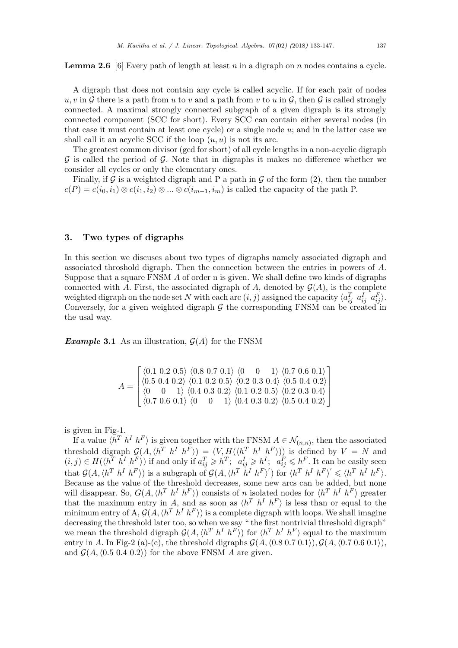**Lemma 2.6** [6] Every path of length at least *n* in a digraph on *n* nodes contains a cycle.

A digraph that does not contain any cycle is called acyclic. If for each pair of nodes  $u, v$  in  $\mathcal G$  there is a path from  $u$  to  $v$  and a path from  $v$  to  $u$  in  $\mathcal G$ , then  $\mathcal G$  is called strongly connected. A maximal strongly connected subgraph of a given digraph is its strongly connected component (SCC for short). Every SCC can contain either several nodes (in that case it must contain at least one cycle) or a single node *u*; and in the latter case we shall call it an acyclic SCC if the loop  $(u, u)$  is not its arc.

The greatest common divisor (gcd for short) of all cycle lengths in a non-acyclic digraph *G* is called the period of *G*. Note that in digraphs it makes no difference whether we consider all cycles or only the elementary ones.

Finally, if  $\mathcal G$  is a weighted digraph and P a path in  $\mathcal G$  of the form (2), then the number  $c(P) = c(i_0, i_1) \otimes c(i_1, i_2) \otimes \ldots \otimes c(i_{m-1}, i_m)$  is called the capacity of the path P.

#### **3. Two types of digraphs**

In this section we discuses about two types of digraphs namely associated digraph and associated throshold digraph. Then the connection between the entries in powers of *A*. Suppose that a square FNSM *A* of order n is given. We shall define two kinds of digraphs connected with *A*. First, the associated digraph of *A*, denoted by  $\mathcal{G}(A)$ , is the complete weighted digraph on the node set *N* with each arc  $(i, j)$  assigned the capacity  $\langle a_{ij}^T \ a_{ij}^T \ a_{ij}^T \rangle$ . Conversely, for a given weighted digraph  $G$  the corresponding FNSM can be created in the usal way.

*Example* **3.1** As an illustration,  $\mathcal{G}(A)$  for the FNSM

$$
A = \begin{bmatrix} \langle 0.1 \ 0.2 \ 0.5 \rangle & \langle 0.8 \ 0.7 \ 0.1 \rangle & \langle 0 & 0 & 1 \rangle & \langle 0.7 \ 0.6 \ 0.1 \rangle \\ \langle 0.5 \ 0.4 \ 0.2 \rangle & \langle 0.1 \ 0.2 \ 0.5 \rangle & \langle 0.2 \ 0.3 \ 0.4 \rangle & \langle 0.5 \ 0.4 \ 0.2 \rangle \\ \langle 0 & 0 & 1 \rangle & \langle 0.4 \ 0.3 \ 0.2 \rangle & \langle 0.1 \ 0.2 \ 0.5 \rangle & \langle 0.2 \ 0.3 \ 0.4 \rangle \\ \langle 0.7 \ 0.6 \ 0.1 \rangle & \langle 0 & 0 & 1 \rangle & \langle 0.4 \ 0.3 \ 0.2 \rangle & \langle 0.5 \ 0.4 \ 0.2 \rangle \end{bmatrix}
$$

is given in Fig-1.

If a value  $\langle h^T h^I h^F \rangle$  is given together with the FNSM  $A \in \mathcal{N}_{(n,n)}$ , then the associated threshold digraph  $\mathcal{G}(A, \langle h^T h^I h^F \rangle) = (V, H(\langle h^T h^I h^F \rangle))$  is defined by  $V = N$  and  $(i, j) \in H(\langle h^T h^I h^F \rangle)$  if and only if  $a_{ij}^T \geqslant h^T$ ;  $a_{ij}^I \geqslant h^I$ ;  $a_{ij}^F \leqslant h^F$ . It can be easily seen that  $\mathcal{G}(A, \langle h^T h^I h^F \rangle)$  is a subgraph of  $\mathcal{G}(A, \langle h^T h^I h^F \rangle')$  for  $\langle h^T h^I h^F \rangle' \leq \langle h^T h^I h^F \rangle$ . Because as the value of the threshold decreases, some new arcs can be added, but none will disappear. So,  $G(A, \langle h^T h^I h^F \rangle)$  consists of n isolated nodes for  $\langle h^T h^I h^F \rangle$  greater that the maximum entry in *A*, and as soon as  $\langle h^T h^I h^F \rangle$  is less than or equal to the minimum entry of A,  $\mathcal{G}(A, \langle h^T | h^I | h^F \rangle)$  is a complete digraph with loops. We shall imagine decreasing the threshold later too, so when we say " the first nontrivial threshold digraph" we mean the threshold digraph  $\mathcal{G}(A, \langle h^T \ h^I \ h^F \rangle)$  for  $\langle h^T \ h^I \ h^F \rangle$  equal to the maximum entry in *A*. In Fig-2 (a)-(c), the threshold digraphs  $\mathcal{G}(A, (0.8\ 0.7\ 0.1)), \mathcal{G}(A, (0.7\ 0.6\ 0.1)),$ and  $\mathcal{G}(A, \langle 0.5 \rangle 0.4 \langle 0.2 \rangle)$  for the above FNSM A are given.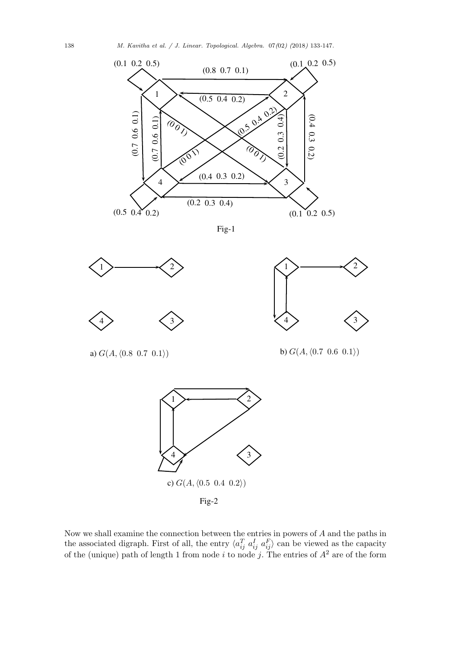

Fig-1



Fig-2

Now we shall examine the connection between the entries in powers of *A* and the paths in the associated digraph. First of all, the entry  $\langle a_{ij}^T a_{ij}^T a_{ij}^T \rangle$  can be viewed as the capacity of the (unique) path of length 1 from node *i* to node *j*. The entries of *A*<sup>2</sup> are of the form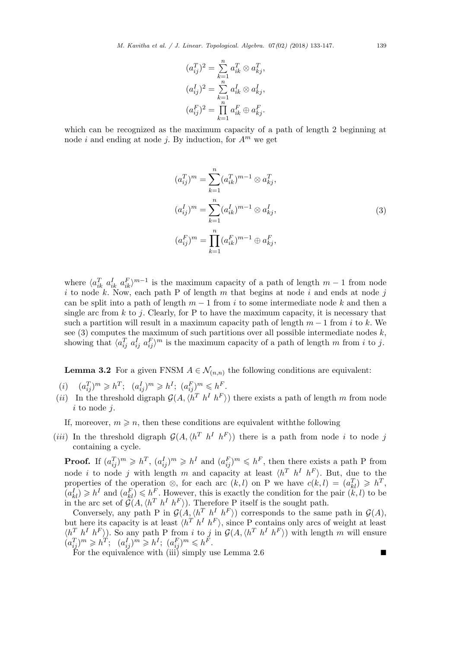$$
(a_{ij}^T)^2 = \sum_{k=1}^n a_{ik}^T \otimes a_{kj}^T,
$$
  
\n
$$
(a_{ij}^I)^2 = \sum_{k=1}^n a_{ik}^I \otimes a_{kj}^I,
$$
  
\n
$$
(a_{ij}^F)^2 = \prod_{k=1}^n a_{ik}^F \oplus a_{kj}^F.
$$

which can be recognized as the maximum capacity of a path of length 2 beginning at node *i* and ending at node *j*. By induction, for  $A^m$  we get

$$
(a_{ij}^T)^m = \sum_{k=1}^n (a_{ik}^T)^{m-1} \otimes a_{kj}^T,
$$
  
\n
$$
(a_{ij}^I)^m = \sum_{k=1}^n (a_{ik}^I)^{m-1} \otimes a_{kj}^I,
$$
  
\n
$$
(a_{ij}^F)^m = \prod_{k=1}^n (a_{ik}^F)^{m-1} \oplus a_{kj}^F,
$$
\n(3)

where  $\langle a_{ik}^T \, a_{ik}^T \, a_{ik}^F \rangle^{m-1}$  is the maximum capacity of a path of length  $m-1$  from node *i* to node *k*. Now, each path P of length *m* that begins at node *i* and ends at node *j* can be split into a path of length  $m-1$  from *i* to some intermediate node k and then a single arc from *k* to *j*. Clearly, for P to have the maximum capacity, it is necessary that such a partition will result in a maximum capacity path of length *m −* 1 from *i* to *k*. We see  $(3)$  computes the maximum of such partitions over all possible intermediate nodes  $k$ , showing that  $\langle a_{ij}^T a_{ij}^T a_{ij}^T \rangle^m$  is the maximum capacity of a path of length *m* from *i* to *j*.

**Lemma 3.2** For a given FNSM  $A \in \mathcal{N}_{(n,n)}$  the following conditions are equivalent:

- $(i)$   $(a_{ij}^T)^m \geq h^T$ ;  $(a_{ij}^I)^m \geq h^I$ ;  $(a_{ij}^F)^m \leq h^F$ .
- (*ii*) In the threshold digraph  $\mathcal{G}(A, \langle h^T h^I h^F \rangle)$  there exists a path of length *m* from node *i* to node *j*.

If, moreover,  $m \geqslant n$ , then these conditions are equivalent with the following

(*iii*) In the threshold digraph  $\mathcal{G}(A, \langle h^T \ h^I \ h^F \rangle)$  there is a path from node *i* to node *j* containing a cycle.

**Proof.** If  $(a_{ij}^T)^m \geq h^T$ ,  $(a_{ij}^I)^m \geq h^I$  and  $(a_{ij}^F)^m \leq h^F$ , then there exists a path P from node *i* to node *j* with length *m* and capacity at least  $\langle h^T \ h^I \ h^F \rangle$ . But, due to the properties of the operation  $\otimes$ , for each arc  $(k, l)$  on P we have  $c(k, l) = (a_{kl}^T) \geq h^T$ ,  $(a_{kl}^I) \geq h^I$  and  $(a_{kl}^F) \leq h^F$ . However, this is exactly the condition for the pair  $(k, l)$  to be in the arc set of  $\mathcal{G}(A, \langle h^T \ h^I \ h^F \rangle)$ . Therefore P itself is the sought path.

Conversely, any path P in  $\mathcal{G}(A, \langle h^T \ h^I \ h^F \rangle)$  corresponds to the same path in  $\mathcal{G}(A)$ , but here its capacity is at least  $\langle h^T h^I h^F \rangle$ , since P contains only arcs of weight at least  $\langle h^T h^I h^F \rangle$ . So any path P from i to j in  $\mathcal{G}(A, \langle h^T h^I h^F \rangle)$  with length m will ensure  $(a_{ij}^T)^m \geq h^T$ ;  $(a_{ij}^I)^m \geq h^I$ ;  $(a_{ij}^F)^m \leq h^F$ .

For the equivalence with (iii) simply use Lemma  $2.6$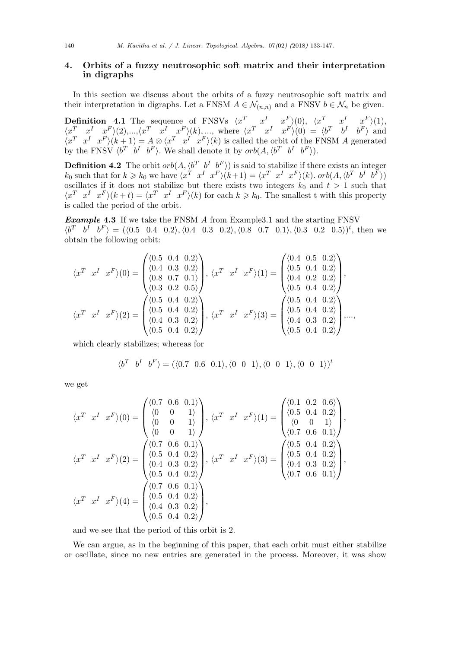# **4. Orbits of a fuzzy neutrosophic soft matrix and their interpretation in digraphs**

In this section we discuss about the orbits of a fuzzy neutrosophic soft matrix and their interpretation in digraphs. Let a FNSM  $A \in \mathcal{N}_{(n,n)}$  and a FNSV  $b \in \mathcal{N}_n$  be given.

**Definition 4.1** The sequence of FNSVs  $\langle x^T \quad x^I \quad x^F \rangle(0)$ ,  $\langle x^T \quad x^I \quad x^F \rangle(1)$ ,  $\langle x^T \quad x^I \quad x^F \rangle (2), ..., \langle x^T \quad x^I \quad x^F \rangle (k), ...,$  where  $\langle x^T \quad x^I \quad x^F \rangle (0) = \langle b^T \quad b^I \quad b^F \rangle$  and  $\langle x^T \ x^I \ x^F \rangle (k+1) = A \otimes \langle x^T \ x^I \ x^F \rangle (k)$  is called the orbit of the FNSM A generated by the FNSV  $\langle b^T \quad b^I \quad b^F \rangle$ . We shall denote it by  $orb(A, \langle b^T \quad b^I \quad b^F \rangle)$ .

**Definition 4.2** The orbit  $orb(A, \langle b^T \ b^I \ b^F \rangle)$  is said to stabilize if there exists an integer  $k_0$  such that for  $k \geq k_0$  we have  $\langle x^T \ x^I \ x^F \rangle (k+1) = \langle x^T \ x^I \ x^F \rangle (k)$ .  $orb(A, \langle b^T \ b^I \ b^F \rangle)$ oscillates if it does not stabilize but there exists two integers  $k_0$  and  $t > 1$  such that  $\langle x^T \ x^I \ x^F \rangle (k+t) = \langle x^T \ x^I \ x^F \rangle (k)$  for each  $k \geq k_0$ . The smallest t with this property is called the period of the orbit.

*Example* **4.3** If we take the FNSM *A* from Example3.1 and the starting FNSV  $\langle b^T \quad b^I \quad b^F \rangle = (\langle 0.5 \quad 0.4 \quad 0.2 \rangle, \langle 0.4 \quad 0.3 \quad 0.2 \rangle, \langle 0.8 \quad 0.7 \quad 0.1 \rangle, \langle 0.3 \quad 0.2 \quad 0.5 \rangle)^t$ , then we obtain the following orbit:

$$
\langle x^T \ x^I \ x^F \rangle(0) = \begin{pmatrix} \langle 0.5 & 0.4 & 0.2 \rangle \\ \langle 0.4 & 0.3 & 0.2 \rangle \\ \langle 0.8 & 0.7 & 0.1 \rangle \\ \langle 0.3 & 0.2 & 0.5 \rangle \end{pmatrix}, \langle x^T \ x^I \ x^F \rangle(1) = \begin{pmatrix} \langle 0.4 & 0.5 & 0.2 \rangle \\ \langle 0.5 & 0.4 & 0.2 \rangle \\ \langle 0.4 & 0.2 & 0.2 \rangle \\ \langle 0.5 & 0.4 & 0.2 \rangle \end{pmatrix},
$$
  

$$
\langle x^T \ x^I \ x^F \rangle(2) = \begin{pmatrix} \langle 0.5 & 0.4 & 0.2 \rangle \\ \langle 0.5 & 0.4 & 0.2 \rangle \\ \langle 0.4 & 0.3 & 0.2 \rangle \\ \langle 0.5 & 0.4 & 0.2 \rangle \end{pmatrix}, \langle x^T \ x^I \ x^F \rangle(3) = \begin{pmatrix} \langle 0.5 & 0.4 & 0.2 \rangle \\ \langle 0.5 & 0.4 & 0.2 \rangle \\ \langle 0.4 & 0.3 & 0.2 \rangle \\ \langle 0.5 & 0.4 & 0.2 \rangle \end{pmatrix}, \dots,
$$

which clearly stabilizes; whereas for

$$
\langle b^T \quad b^I \quad b^F \rangle = (\langle 0.7 \quad 0.6 \quad 0.1 \rangle, \langle 0 \quad 0 \quad 1 \rangle, \langle 0 \quad 0 \quad 1 \rangle, \langle 0 \quad 0 \quad 1 \rangle)^t
$$

we get

$$
\langle x^T \ x^I \ x^F \rangle(0) = \begin{pmatrix} \langle 0.7 & 0.6 & 0.1 \rangle \\ \langle 0 & 0 & 1 \rangle \\ \langle 0 & 0 & 1 \rangle \\ \langle 0 & 0 & 1 \rangle \end{pmatrix}, \langle x^T \ x^I \ x^F \rangle(1) = \begin{pmatrix} \langle 0.1 & 0.2 & 0.6 \rangle \\ \langle 0.5 & 0.4 & 0.2 \rangle \\ \langle 0 & 0 & 1 \rangle \\ \langle 0.7 & 0.6 & 0.1 \rangle \end{pmatrix},
$$
  

$$
\langle x^T \ x^I \ x^F \rangle(2) = \begin{pmatrix} \langle 0.7 & 0.6 & 0.1 \rangle \\ \langle 0.5 & 0.4 & 0.2 \rangle \\ \langle 0.4 & 0.3 & 0.2 \rangle \\ \langle 0.5 & 0.4 & 0.2 \rangle \\ \langle 0.5 & 0.4 & 0.2 \rangle \end{pmatrix}, \langle x^T \ x^I \ x^F \rangle(3) = \begin{pmatrix} \langle 0.5 & 0.4 & 0.2 \rangle \\ \langle 0.5 & 0.4 & 0.2 \rangle \\ \langle 0.4 & 0.3 & 0.2 \rangle \\ \langle 0.7 & 0.6 & 0.1 \rangle \end{pmatrix},
$$
  

$$
\langle x^T \ x^I \ x^F \rangle(4) = \begin{pmatrix} \langle 0.7 & 0.6 & 0.1 \rangle \\ \langle 0.5 & 0.4 & 0.2 \rangle \\ \langle 0.4 & 0.3 & 0.2 \rangle \\ \langle 0.5 & 0.4 & 0.2 \rangle \\ \langle 0.5 & 0.4 & 0.2 \rangle \end{pmatrix},
$$

and we see that the period of this orbit is 2.

We can argue, as in the beginning of this paper, that each orbit must either stabilize or oscillate, since no new entries are generated in the process. Moreover, it was show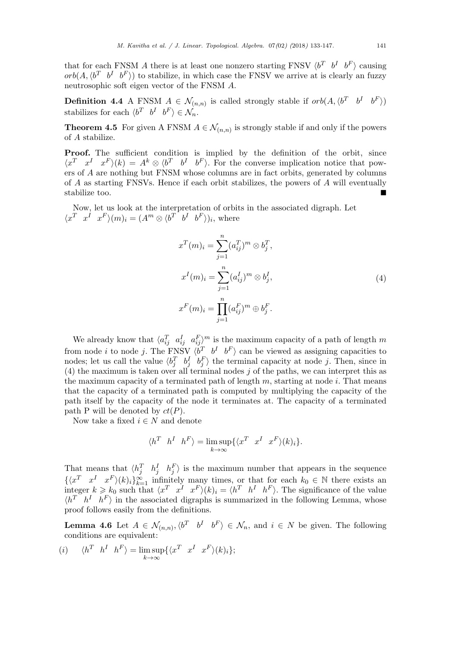that for each FNSM *A* there is at least one nonzero starting FNSV  $\langle b^T \quad b^I \quad b^F \rangle$  causing  $orb(A, \langle b^T \ b^I \ b^F \rangle)$  to stabilize, in which case the FNSV we arrive at is clearly an fuzzy neutrosophic soft eigen vector of the FNSM *A*.

**Definition 4.4** A FNSM  $A \in \mathcal{N}_{(n,n)}$  is called strongly stable if  $orb(A, \langle b^T \quad b^I \quad b^F \rangle)$ stabilizes for each  $\langle b^T \quad b^I \quad b^F \rangle \in \mathcal{N}_n$ .

**Theorem 4.5** For given A FNSM  $A \in \mathcal{N}_{(n,n)}$  is strongly stable if and only if the powers of *A* stabilize.

Proof. The sufficient condition is implied by the definition of the orbit, since  $\langle x^T x^I x^F \rangle (k) = A^k \otimes \langle b^T b^I b^F \rangle$ . For the converse implication notice that powers of *A* are nothing but FNSM whose columns are in fact orbits, generated by columns of *A* as starting FNSVs. Hence if each orbit stabilizes, the powers of *A* will eventually stabilize too.

Now, let us look at the interpretation of orbits in the associated digraph. Let  $\langle x^T \ x^I \ x^F \rangle (m)_i = (A^m \otimes \langle b^T \ b^I \ b^F \rangle)_i$ , where

$$
x^{T}(m)_{i} = \sum_{j=1}^{n} (a_{ij}^{T})^{m} \otimes b_{j}^{T},
$$
  
\n
$$
x^{I}(m)_{i} = \sum_{j=1}^{n} (a_{ij}^{I})^{m} \otimes b_{j}^{I},
$$
  
\n
$$
x^{F}(m)_{i} = \prod_{j=1}^{n} (a_{ij}^{F})^{m} \oplus b_{j}^{F}.
$$
  
\n(4)

We already know that  $\langle a_{ij}^T \quad a_{ij}^T \quad a_{ij}^F \rangle^m$  is the maximum capacity of a path of length  $m$ from node *i* to node *j*. The FNSV  $\langle b^T \quad b^I \quad b^F \rangle$  can be viewed as assigning capacities to nodes; let us call the value  $\langle b_j^T \quad b_j^L \rangle$  by the terminal capacity at node *j*. Then, since in (4) the maximum is taken over all terminal nodes *j* of the paths, we can interpret this as the maximum capacity of a terminated path of length *m*, starting at node *i*. That means that the capacity of a terminated path is computed by multiplying the capacity of the path itself by the capacity of the node it terminates at. The capacity of a terminated path P will be denoted by  $ct(P)$ .

Now take a fixed  $i \in N$  and denote

$$
\langle h^T \ h^I \ h^F \rangle = \limsup_{k \to \infty} \{ \langle x^T \ x^I \ x^F \rangle (k)_i \}.
$$

That means that  $\langle h_j^T \quad h_j^I \quad h_j^F \rangle$  is the maximum number that appears in the sequence  $\{\langle x^T \ x^I \ x^F \rangle (k)_i\}_{k=1}^{\infty}$  infinitely many times, or that for each  $k_0 \in \mathbb{N}$  there exists an integer  $k \geq k_0$  such that  $\langle x^T \ x^I \ x^F \rangle (k)_i = \langle h^T \ h^I \ h^F \rangle$ . The significance of the value  $\langle h^T \ h^I \ h^F \rangle$  in the associated digraphs is summarized in the following Lemma, whose proof follows easily from the definitions.

**Lemma 4.6** Let  $A \in \mathcal{N}_{(n,n)}, \langle b^T \mid b^I \mid b^F \rangle \in \mathcal{N}_n$ , and  $i \in N$  be given. The following conditions are equivalent:

(i) 
$$
\langle h^T \ h^I \ h^F \rangle = \lim_{k \to \infty} \sup \{ \langle x^T \ x^I \ x^F \rangle (k)_i \};
$$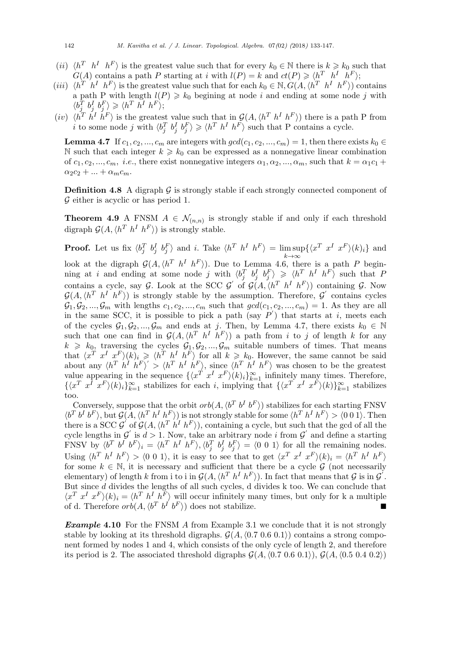- (*ii*)  $\langle h^T \ h^I \ h^F \rangle$  is the greatest value such that for every  $k_0 \in \mathbb{N}$  there is  $k \geq k_0$  such that *G*(*A*) contains a path *P* starting at *i* with  $l(P) = k$  and  $ct(P) \geq \langle h^T \ h^I \ h^F \rangle$ ;
- (*iii*)  $\langle h^T \ h^I \ h^F \rangle$  is the greatest value such that for each  $k_0 \in \mathbb{N}, G(A, \langle h^T \ h^I \ h^F \rangle)$  contains a path P with length  $l(P) \geq k_0$  begining at node *i* and ending at some node *j* with  $\langle b_j^T \ b_j^I \ b_j^F \rangle \geq \langle h^T \ h^I \ h^F \rangle;$
- $(iv)$   $\langle h^T h^I h^F \rangle$  is the greatest value such that in  $\mathcal{G}(A, \langle h^T h^I h^F \rangle)$  there is a path P from *i* to some node *j* with  $\langle b_j^T b_j^I b_j^F \rangle \ge \langle h^T h^I h^F \rangle$  such that P contains a cycle.

**Lemma 4.7** If  $c_1, c_2, ..., c_m$  are integers with  $gcd(c_1, c_2, ..., c_m) = 1$ , then there exists  $k_0 \in$ N such that each integer  $k \geq k_0$  can be expressed as a nonnegative linear combination of  $c_1, c_2, ..., c_m$ , *i.e.*, there exist nonnegative integers  $\alpha_1, \alpha_2, ..., \alpha_m$ , such that  $k = \alpha_1 c_1 +$  $\alpha_2 c_2 + ... + \alpha_m c_m$ .

**Definition 4.8** A digraph  $\mathcal{G}$  is strongly stable if each strongly connected component of *G* either is acyclic or has period 1.

**Theorem 4.9** A FNSM  $A \in \mathcal{N}_{(n,n)}$  is strongly stable if and only if each threshold digraph  $\mathcal{G}(A, \langle h^T \ h^I \ h^F \rangle)$  is strongly stable.

**Proof.** Let us fix  $\langle b_j^T b_j^I b_j^F \rangle$  and *i*. Take  $\langle h^T h^I h^F \rangle = \limsup$ *k→∞*  $\{\langle x^T \ x^I \ x^F \rangle (k)_i\}$  and look at the digraph  $\mathcal{G}(A, \langle h^T \ h^I \ h^F \rangle)$ . Due to Lemma 4.6, there is a path *P* beginning at i and ending at some node j with  $\langle b_j^T b_j^I b_j^F \rangle \ge \langle h^T h^I h^F \rangle$  such that P contains a cycle, say *G*. Look at the SCC *G*<sup>'</sup> of  $\mathcal{G}(A, \langle h^T \ h^I \ h^F \rangle)$  containing *G*. Now  $G(A, \langle h^T \ h^I \ h^F \rangle)$  is strongly stable by the assumption. Therefore,  $G'$  contains cycles  $\mathcal{G}_1, \mathcal{G}_2, ..., \mathcal{G}_m$  with lengths  $c_1, c_2, ..., c_m$  such that  $gcd(c_1, c_2, ..., c_m) = 1$ . As they are all in the same SCC, it is possible to pick a path (say  $P'$ ) that starts at *i*, meets each of the cycles  $\mathcal{G}_1, \mathcal{G}_2, ..., \mathcal{G}_m$  and ends at *j*. Then, by Lemma 4.7, there exists  $k_0 \in \mathbb{N}$ such that one can find in  $\mathcal{G}(A, \langle h^T \ h^I \ h^F \rangle)$  a path from *i* to *j* of length *k* for any  $k \geq k_0$ , traversing the cycles  $\mathcal{G}_1, \mathcal{G}_2, ..., \mathcal{G}_m$  suitable numbers of times. That means that  $\langle x^T x^I x^F \rangle (k)_i \geq \langle h^T h^I h^F \rangle$  for all  $k \geq k_0$ . However, the same cannot be said about any  $\langle h^T h^I h^F \rangle' > \langle h^T h^I h^F \rangle$ , since  $\langle h^T h^I h^F \rangle$  was chosen to be the greatest value appearing in the sequence  $\{\langle x^T x^I x^F \rangle (k)_i \}_{k=1}^{\infty}$  infinitely many times. Therefore,  $\{\langle x^T x^I x^F \rangle (k)_i \}_{k=1}^{\infty}$  stabilizes for each i, implying that  $\{\langle x^T x^I x^F \rangle (k)\}_{k=1}^{\infty}$  stabilizes too.

Conversely, suppose that the orbit  $orb(A, \langle b^T b^I b^F \rangle)$  stabilizes for each starting FNSV  $\langle b^T b^I b^F \rangle$ , but  $\mathcal{G}(A, \langle h^T h^I h^F \rangle)$  is not strongly stable for some  $\langle h^T h^I h^F \rangle > \langle 0 \ 0 \ 1 \rangle$ . Then there is a SCC  $\mathcal{G}'$  of  $\mathcal{G}(A, \langle h^T h^I h^F \rangle)$ , containing a cycle, but such that the gcd of all the cycle lengths in  $G'$  is  $d > 1$ . Now, take an arbitrary node *i* from  $G'$  and define a starting FNSV by  $\langle b^T b^I b^F \rangle_i = \langle b^T b^I b^F \rangle, \langle b_j^T b_j^I b^F \rangle = \langle 0 \ 0 \ 1 \rangle$  for all the remaining nodes. Using  $\langle h^T h^I h^F \rangle > \langle 0 \ 0 \ 1 \rangle$ , it is easy to see that to get  $\langle x^T x^I x^F \rangle (k)_i = \langle h^T h^I h^F \rangle$ for some  $k \in \mathbb{N}$ , it is necessary and sufficient that there be a cycle  $\mathcal{G}$  (not necessarily elementary) of length *k* from i to i in  $\mathcal{G}(A, \langle h^T h^I h^F \rangle)$ . In fact that means that  $\mathcal{G}$  is in  $\mathcal{G}'$ . But since *d* divides the lengths of all such cycles, d divides k too. We can conclude that  $\langle x^T x^I x^F \rangle (k)_i = \langle h^T h^I h^F \rangle$  will occur infinitely many times, but only for k a multiple of d. Therefore  $orb(A, \langle b^T b^I b^F \rangle)$  does not stabilize.

*Example* **4.10** For the FNSM *A* from Example 3.1 we conclude that it is not strongly stable by looking at its threshold digraphs.  $\mathcal{G}(A, \langle 0.7 \ 0.6 \ 0.1 \rangle)$  contains a strong component formed by nodes 1 and 4, which consists of the only cycle of length 2, and therefore its period is 2. The associated threshold digraphs  $\mathcal{G}(A, \langle 0.7, 0.6, 0.1 \rangle)$ ,  $\mathcal{G}(A, \langle 0.5, 0.4, 0.2 \rangle)$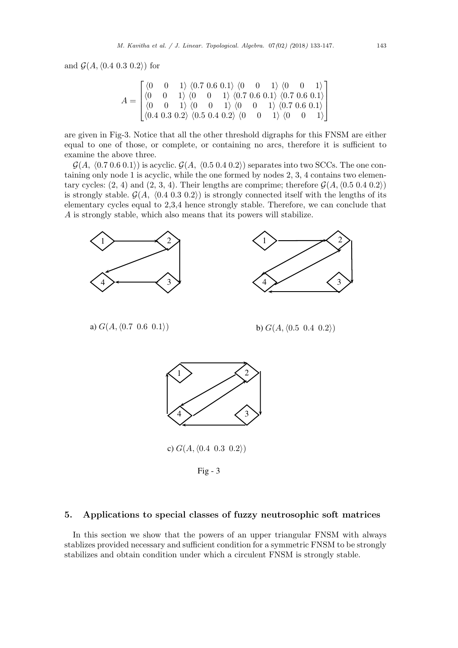and  $\mathcal{G}(A, \langle 0.4 \ 0.3 \ 0.2 \rangle)$  for

$$
A = \begin{bmatrix} \langle 0 & 0 & 1 \rangle & \langle 0.7 & 0.6 & 0.1 \rangle & \langle 0 & 0 & 1 \rangle & \langle 0 & 0 & 1 \rangle \\ \langle 0 & 0 & 1 & \rangle & \langle 0 & 0 & 1 \rangle & \langle 0.7 & 0.6 & 0.1 \rangle & \langle 0.7 & 0.6 & 0.1 \rangle \\ \langle 0 & 0 & 1 & \rangle & \langle 0 & 0 & 1 \rangle & \langle 0 & 0 & 1 \rangle & \langle 0.7 & 0.6 & 0.1 \rangle \\ \langle 0.4 & 0.3 & 0.2 & \rangle & \langle 0.5 & 0.4 & 0.2 \rangle & \langle 0 & 0 & 1 \rangle & \langle 0 & 0 & 1 \rangle \end{bmatrix}
$$

are given in Fig-3. Notice that all the other threshold digraphs for this FNSM are either equal to one of those, or complete, or containing no arcs, therefore it is sufficient to examine the above three.

 $\mathcal{G}(A, \langle 0.7 \ 0.6 \ 0.1 \rangle)$  is acyclic.  $\mathcal{G}(A, \langle 0.5 \ 0.4 \ 0.2 \rangle)$  separates into two SCCs. The one containing only node 1 is acyclic, while the one formed by nodes 2, 3, 4 contains two elementary cycles:  $(2, 4)$  and  $(2, 3, 4)$ . Their lengths are comprime; therefore  $\mathcal{G}(A, \langle 0.5 \ 0.4 \ 0.2 \rangle)$ is strongly stable.  $\mathcal{G}(A, \langle 0.4 \ 0.3 \ 0.2 \rangle)$  is strongly connected itself with the lengths of its elementary cycles equal to 2,3,4 hence strongly stable. Therefore, we can conclude that *A* is strongly stable, which also means that its powers will stabilize.



# **5. Applications to special classes of fuzzy neutrosophic soft matrices**

In this section we show that the powers of an upper triangular FNSM with always stablizes provided necessary and sufficient condition for a symmetric FNSM to be strongly stabilizes and obtain condition under which a circulent FNSM is strongly stable.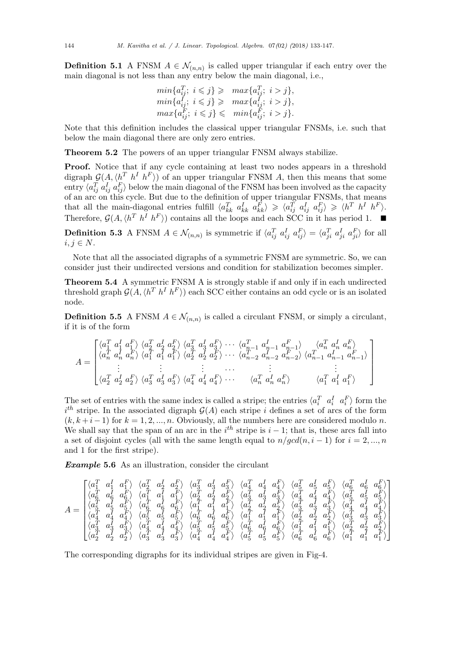**Definition 5.1** A FNSM  $A \in \mathcal{N}_{(n,n)}$  is called upper triangular if each entry over the main diagonal is not less than any entry below the main diagonal, i.e.,

$$
min\{a_{ij}^T; i \leq j\} \geq max\{a_{ij}^T; i > j\},
$$
  
\n
$$
min\{a_{ij}^I; i \leq j\} \geq max\{a_{ij}^I; i > j\},
$$
  
\n
$$
max\{a_{ij}^F; i \leq j\} \leq min\{a_{ij}^F; i > j\}.
$$

Note that this definition includes the classical upper triangular FNSMs, i.e. such that below the main diagonal there are only zero entries.

**Theorem 5.2** The powers of an upper triangular FNSM always stabilize.

**Proof.** Notice that if any cycle containing at least two nodes appears in a threshold digraph  $\mathcal{G}(A, \langle h^T \ h^I \ h^F \rangle)$  of an upper triangular FNSM *A*, then this means that some entry  $\langle a_{ij}^T a_{ij}^T a_{ij}^T \rangle$  below the main diagonal of the FNSM has been involved as the capacity of an arc on this cycle. But due to the definition of upper triangular FNSMs, that means that all the main-diagonal entries fulfill  $\langle a_{kk}^T a_{kk}^T a_{kk}^T \rangle \geq \langle a_{ij}^T a_{ij}^T a_{ij}^T \rangle \geq \langle h^T h^I h^F \rangle$ . Therefore,  $\mathcal{G}(A, \langle h^T \ h^I \ h^F \rangle)$  contains all the loops and each SCC in it has period 1. ■

**Definition 5.3** A FNSM  $A \in \mathcal{N}_{(n,n)}$  is symmetric if  $\langle a_{ij}^T a_{ij}^T a_{ij}^T a_{ij}^T a_{ji}^T a_{ji}^T a_{ji}^T \rangle$  for all  $i, j \in N$ .

Note that all the associated digraphs of a symmetric FNSM are symmetric. So, we can consider just their undirected versions and condition for stabilization becomes simpler.

**Theorem 5.4** A symmetric FNSM A is strongly stable if and only if in each undirected threshold graph  $\mathcal{G}(A, \langle h^T h^I h^F \rangle)$  each SCC either contains an odd cycle or is an isolated node.

**Definition 5.5** A FNSM  $A \in \mathcal{N}_{(n,n)}$  is called a circulant FNSM, or simply a circulant, if it is of the form

$$
A = \begin{bmatrix} \langle a_1^T a_1^T a_1^T \rangle & \langle a_2^T a_2^T a_2^T \rangle & \langle a_3^T a_3^T a_3^T \rangle & \cdots & \langle a_{n-1}^T a_{n-1}^T a_{n-1}^T \rangle & \langle a_n^T a_n^T a_n^T \rangle \\ \langle a_n^T a_n^T a_n^F \rangle & \langle a_1^T a_1^T a_1^F \rangle & \langle a_2^T a_2^T a_2^F \rangle & \cdots & \langle a_{n-2}^T a_{n-2}^T a_{n-2}^F \rangle \\ \vdots & \vdots & \ddots & \vdots & \vdots \\ \langle a_2^T a_2^T a_2^T a_2^T \rangle & \langle a_3^T a_3^T a_3^F \rangle & \langle a_4^T a_4^T a_4^F \rangle & \cdots & \langle a_n^T a_n^T a_n^F \rangle \end{bmatrix}
$$

The set of entries with the same index is called a stripe; the entries  $\langle a_i^T \ a_i^I \ a_i^F \rangle$  form the  $i<sup>th</sup>$  stripe. In the associated digraph  $\mathcal{G}(A)$  each stripe *i* defines a set of arcs of the form  $(k, k+i-1)$  for  $k = 1, 2, ..., n$ . Obviously, all the numbers here are considered modulo *n*. We shall say that the span of an arc in the  $i<sup>th</sup>$  stripe is  $i-1$ ; that is, these arcs fall into a set of disjoint cycles (all with the same length equal to  $n/gcd(n, i - 1)$  for  $i = 2, ..., n$ and 1 for the first stripe).

*Example* **5.6** As an illustration, consider the circulant

$$
A = \begin{bmatrix} \langle a_1^T & a_1^T & a_1^F \rangle & \langle a_2^T & a_2^L & a_2^F \rangle & \langle a_3^T & a_3^T & a_3^F \rangle & \langle a_4^T & a_4^L & a_4^F \rangle & \langle a_5^T & a_5^L & a_6^F \rangle & \langle a_6^T & a_6^L & a_6^F \rangle \\ \langle a_6^T & a_6^L & a_6^F \rangle & \langle a_1^T & a_1^T & a_1^F \rangle & \langle a_2^T & a_2^L & a_2^F \rangle & \langle a_3^T & a_3^T & a_3^F \rangle & \langle a_4^T & a_4^L & a_4^F \rangle & \langle a_5^T & a_5^F \rangle \\ \langle a_5^T & a_5^L & a_5^F \rangle & \langle a_6^T & a_6^L & a_6^F \rangle & \langle a_1^T & a_1^T & a_1^F \rangle & \langle a_2^T & a_2^L & a_2^F \rangle & \langle a_3^T & a_3^L & a_3^F \rangle & \langle a_4^T & a_4^L & a_4^F \rangle \\ \langle a_4^T & a_4^L & a_4^L & \langle a_5^T & a_5^L & a_5^F \rangle & \langle a_6^T & a_6^L & a_6^F \rangle & \langle a_1^T & a_1^T & a_1^F \rangle & \langle a_2^T & a_2^L & a_2^F \rangle & \langle a_3^T & a_3^L & a_3^F \rangle \\ \langle a_3^T & a_3^L & a_3^F \rangle & \langle a_4^T & a_4^L & a_4^F \rangle & \langle a_5^T & a_5^L & a_6^F \rangle & \langle a_6^T & a_6^L & a_6^F \rangle & \langle a_1^T & a_1^T & a_1^F \rangle & \langle a_2^T & a_2^L & a_2^F \rangle \\ \langle a_2^T & a_2^L & a_2^F \rangle & \langle a_3^T & a_3^L & a_3^F \rangle & \langle a_4^T & a_4^L & a_4^F \rangle & \langle a_5^T & a_5^L & a_5^F \rangle & \langle a_6^T & a_6
$$

The corresponding digraphs for its individual stripes are given in Fig-4.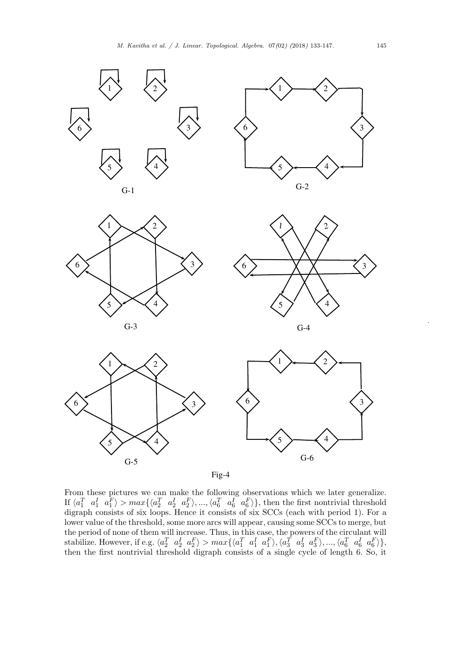

Fig-4

From these pictures we can make the following observations which we later generalize. If  $\langle a_1^T \ a_1^I \ a_1^F \rangle > max\{\langle a_2^T \ a_2^I \ a_2^F \rangle, ..., \langle a_6^T \ a_6^I \ a_6^F \rangle\},\$  then the first nontrivial threshold digraph consists of six loops. Hence it consists of six SCCs (each with period 1). For a lower value of the threshold, some more arcs will appear, causing some SCCs to merge, but the period of none of them will increase. Thus, in this case, the powers of the circulant will stabilize. However, if e.g.  $\langle a_2^T \ a_2^I \ a_2^F \rangle > max\{\langle a_1^T \ a_1^I \ a_1^F \rangle, \langle a_3^T \ a_3^I \ a_3^F \rangle, ..., \langle a_6^T \ a_6^I \ a_6^F \rangle\},$ then the first nontrivial threshold digraph consists of a single cycle of length 6. So, it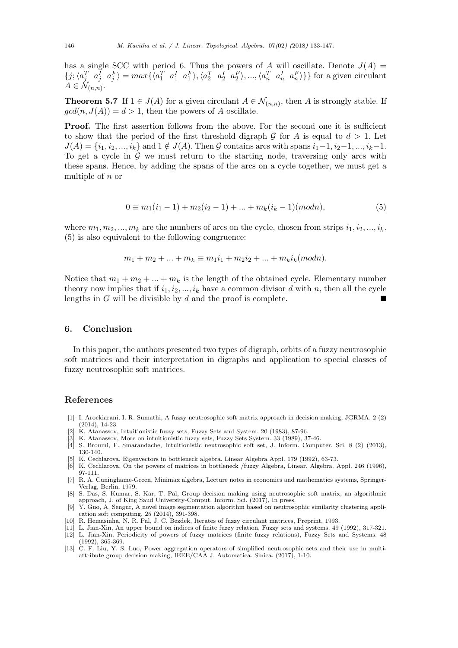has a single SCC with period 6. Thus the powers of *A* will oscillate. Denote  $J(A)$  =  $\{j;\langle a_j^T \ a_j^I \ a_j^F \rangle = max\{\langle a_1^T \ a_1^I \ a_1^F \rangle, \langle a_2^T \ a_2^I \ a_2^F \rangle, ..., \langle a_n^T \ a_n^I \ a_n^F \rangle\} \}$  for a given circulant  $A \in \mathcal{N}_{(n,n)}$ .

**Theorem 5.7** If  $1 \in J(A)$  for a given circulant  $A \in \mathcal{N}_{(n,n)}$ , then *A* is strongly stable. If  $gcd(n, J(A)) = d > 1$ , then the powers of *A* oscillate.

**Proof.** The first assertion follows from the above. For the second one it is sufficient to show that the period of the first threshold digraph  $G$  for  $A$  is equal to  $d > 1$ . Let  $J(A) = \{i_1, i_2, ..., i_k\}$  and  $1 \notin J(A)$ . Then G contains arcs with spans  $i_1 - 1, i_2 - 1, ..., i_k - 1$ . To get a cycle in  $G$  we must return to the starting node, traversing only arcs with these spans. Hence, by adding the spans of the arcs on a cycle together, we must get a multiple of *n* or

$$
0 \equiv m_1(i_1 - 1) + m_2(i_2 - 1) + \dots + m_k(i_k - 1)(modn),
$$
\n<sup>(5)</sup>

where  $m_1, m_2, ..., m_k$  are the numbers of arcs on the cycle, chosen from strips  $i_1, i_2, ..., i_k$ . (5) is also equivalent to the following congruence:

$$
m_1 + m_2 + \dots + m_k \equiv m_1 i_1 + m_2 i_2 + \dots + m_k i_k (mod n).
$$

Notice that  $m_1 + m_2 + \ldots + m_k$  is the length of the obtained cycle. Elementary number theory now implies that if  $i_1, i_2, \ldots, i_k$  have a common divisor *d* with *n*, then all the cycle lengths in  $G$  will be divisible by  $d$  and the proof is complete.

#### **6. Conclusion**

In this paper, the authors presented two types of digraph, orbits of a fuzzy neutrosophic soft matrices and their interpretation in digraphs and application to special classes of fuzzy neutrosophic soft matrices.

## **References**

- [1] I. Arockiarani, I. R. Sumathi, A fuzzy neutrosophic soft matrix approach in decision making, JGRMA. 2 (2) (2014), 14-23.
- K. Atanassov, Intuitionistic fuzzy sets, Fuzzy Sets and System. 20 (1983), 87-96.
- [3] K. Atanassov, More on intuitionistic fuzzy sets, Fuzzy Sets System. 33 (1989), 37-46.
- [4] S. Broumi, F. Smarandache, Intuitionistic neutrosophic soft set, J. Inform. Computer. Sci. 8 (2) (2013), 130-140.
- [5] K. Cechlarova, Eigenvectors in bottleneck algebra. Linear Algebra Appl. 179 (1992), 63-73.
- [6] K. Cechlarova, On the powers of matrices in bottleneck /fuzzy Algebra, Linear. Algebra. Appl. 246 (1996), 97-111.
- [7] R. A. Cuninghame-Green, Minimax algebra, Lecture notes in economics and mathematics systems, Springer-Verlag, Berlin, 1979.
- [8] S. Das, S. Kumar, S. Kar, T. Pal, Group decision making using neutrosophic soft matrix, an algorithmic approach, J. of King Saud University-Comput. Inform. Sci. (2017), In press.
- [9] Y. Guo, A. Sengur, A novel image segmentation algorithm based on neutrosophic similarity clustering application soft computing, 25 (2014), 391-398.
- [10] R. Hemasinha, N. R. Pal, J. C. Bezdek, Iterates of fuzzy circulant matrices, Preprint, 1993.
- [11] L. Jian-Xin, An upper bound on indices of finite fuzzy relation, Fuzzy sets and systems. 49 (1992), 317-321.
- [12] L. Jian-Xin, Periodicity of powers of fuzzy matrices (finite fuzzy relations), Fuzzy Sets and Systems. 48 (1992), 365-369.
- [13] C. F. Liu, Y. S. Luo, Power aggregation operators of simplified neutrosophic sets and their use in multiattribute group decision making, IEEE/CAA J. Automatica. Sinica. (2017), 1-10.